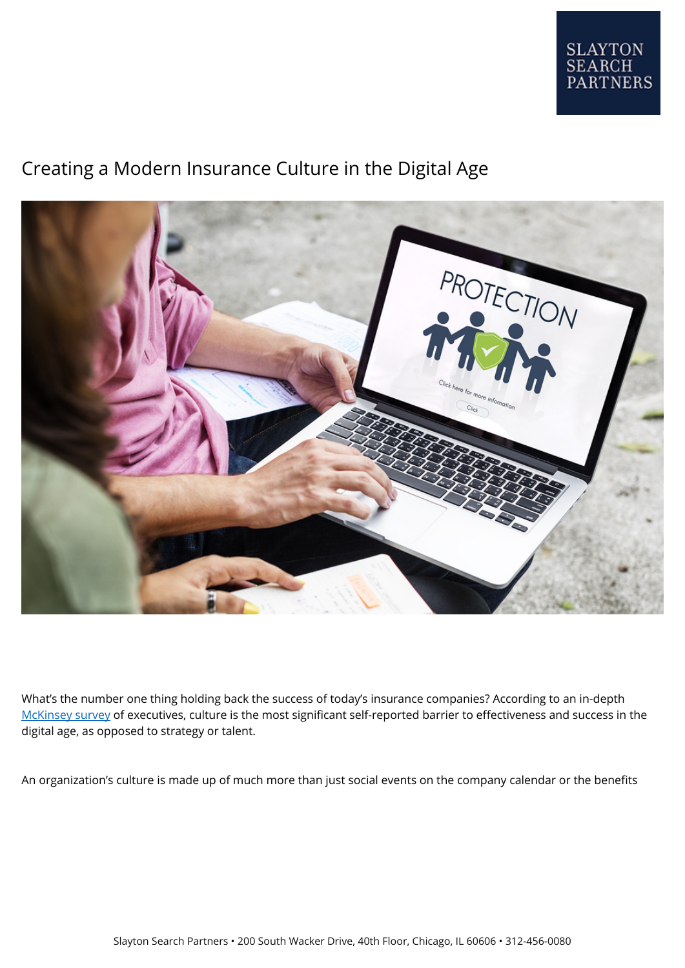

# Creating a Modern Insurance Culture in the Digital Age



What's the number one thing holding back the success of today's insurance companies? According to an in-depth [McKinsey survey](https://www.mckinsey.com/business-functions/digital-mckinsey/our-insights/culture-for-a-digital-age) of executives, culture is the most significant self-reported barrier to effectiveness and success in the digital age, as opposed to strategy or talent.

An organization's culture is made up of much more than just social events on the company calendar or the benefits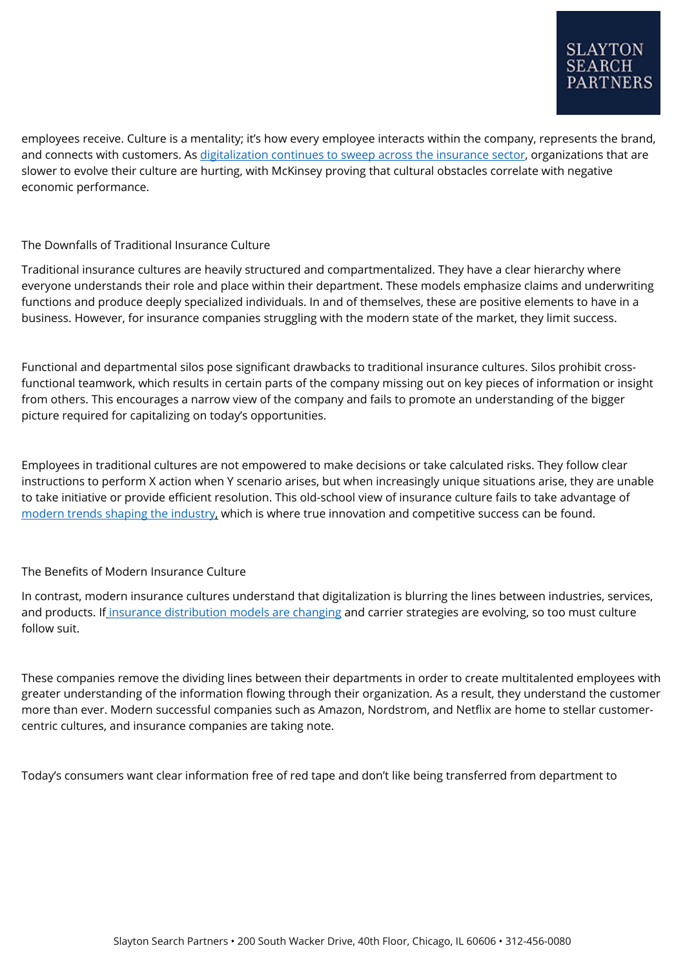employees receive. Culture is a mentality; it's how every employee interacts within the company, represents the brand, and connects with customers. As [digitalization continues to sweep across the insurance sector](https://www.slaytonsearch.com/2017/09/digitalization-insurance-industry/), organizations that are slower to evolve their culture are hurting, with McKinsey proving that cultural obstacles correlate with negative economic performance.

## The Downfalls of Traditional Insurance Culture

Traditional insurance cultures are heavily structured and compartmentalized. They have a clear hierarchy where everyone understands their role and place within their department. These models emphasize claims and underwriting functions and produce deeply specialized individuals. In and of themselves, these are positive elements to have in a business. However, for insurance companies struggling with the modern state of the market, they limit success.

Functional and departmental silos pose significant drawbacks to traditional insurance cultures. Silos prohibit crossfunctional teamwork, which results in certain parts of the company missing out on key pieces of information or insight from others. This encourages a narrow view of the company and fails to promote an understanding of the bigger picture required for capitalizing on today's opportunities.

Employees in traditional cultures are not empowered to make decisions or take calculated risks. They follow clear instructions to perform X action when Y scenario arises, but when increasingly unique situations arise, they are unable to take initiative or provide efficient resolution. This old-school view of insurance culture fails to take advantage of [modern trends shaping the industry](https://www.slaytonsearch.com/2019/01/5-market-trends-in-group-insurance/), which is where true innovation and competitive success can be found.

## The Benefits of Modern Insurance Culture

In contrast, modern insurance cultures understand that digitalization is blurring the lines between industries, services, and products. If [insurance distribution models are changing](https://www.slaytonsearch.com/2018/03/insurance-distribution-models/) and carrier strategies are evolving, so too must culture follow suit.

These companies remove the dividing lines between their departments in order to create multitalented employees with greater understanding of the information flowing through their organization. As a result, they understand the customer more than ever. Modern successful companies such as Amazon, Nordstrom, and Netflix are home to stellar customercentric cultures, and insurance companies are taking note.

Today's consumers want clear information free of red tape and don't like being transferred from department to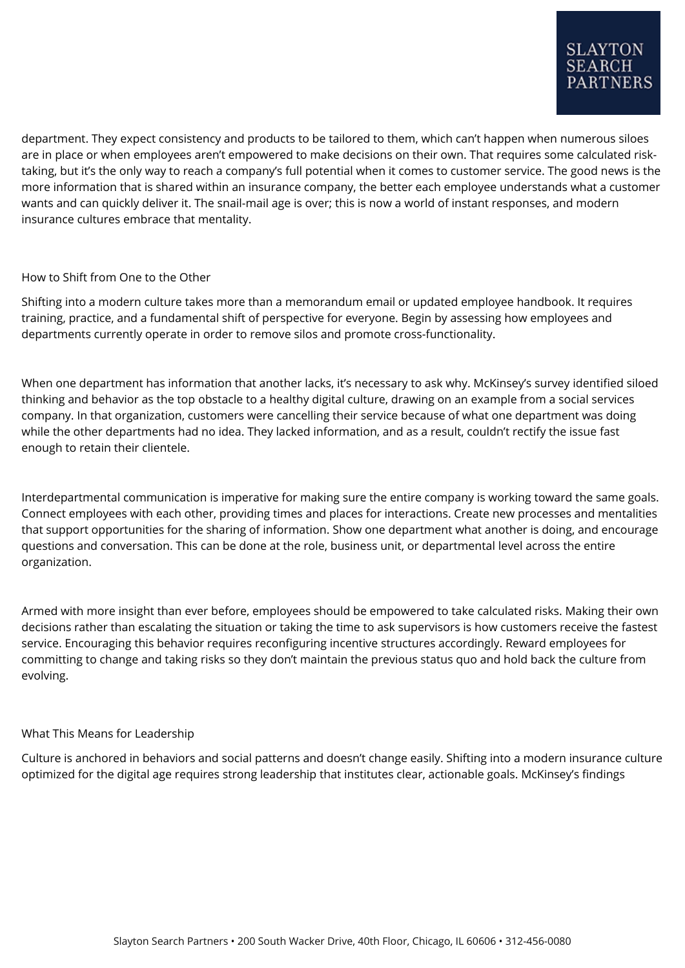department. They expect consistency and products to be tailored to them, which can't happen when numerous siloes are in place or when employees aren't empowered to make decisions on their own. That requires some calculated risktaking, but it's the only way to reach a company's full potential when it comes to customer service. The good news is the more information that is shared within an insurance company, the better each employee understands what a customer wants and can quickly deliver it. The snail-mail age is over; this is now a world of instant responses, and modern insurance cultures embrace that mentality.

## How to Shift from One to the Other

Shifting into a modern culture takes more than a memorandum email or updated employee handbook. It requires training, practice, and a fundamental shift of perspective for everyone. Begin by assessing how employees and departments currently operate in order to remove silos and promote cross-functionality.

When one department has information that another lacks, it's necessary to ask why. McKinsey's survey identified siloed thinking and behavior as the top obstacle to a healthy digital culture, drawing on an example from a social services company. In that organization, customers were cancelling their service because of what one department was doing while the other departments had no idea. They lacked information, and as a result, couldn't rectify the issue fast enough to retain their clientele.

Interdepartmental communication is imperative for making sure the entire company is working toward the same goals. Connect employees with each other, providing times and places for interactions. Create new processes and mentalities that support opportunities for the sharing of information. Show one department what another is doing, and encourage questions and conversation. This can be done at the role, business unit, or departmental level across the entire organization.

Armed with more insight than ever before, employees should be empowered to take calculated risks. Making their own decisions rather than escalating the situation or taking the time to ask supervisors is how customers receive the fastest service. Encouraging this behavior requires reconfiguring incentive structures accordingly. Reward employees for committing to change and taking risks so they don't maintain the previous status quo and hold back the culture from evolving.

## What This Means for Leadership

Culture is anchored in behaviors and social patterns and doesn't change easily. Shifting into a modern insurance culture optimized for the digital age requires strong leadership that institutes clear, actionable goals. McKinsey's findings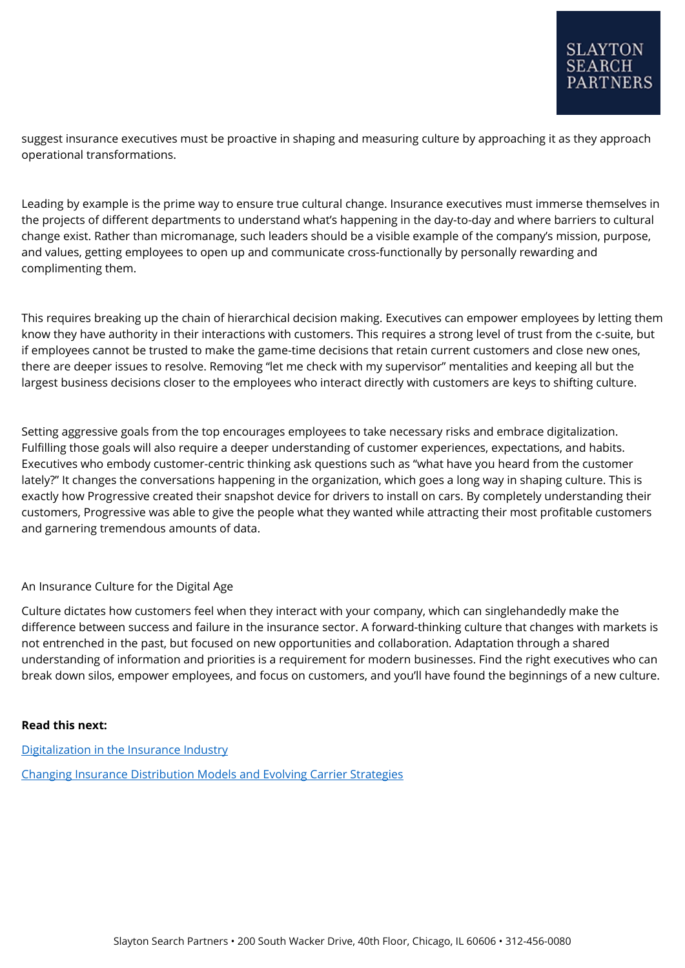suggest insurance executives must be proactive in shaping and measuring culture by approaching it as they approach operational transformations.

Leading by example is the prime way to ensure true cultural change. Insurance executives must immerse themselves in the projects of different departments to understand what's happening in the day-to-day and where barriers to cultural change exist. Rather than micromanage, such leaders should be a visible example of the company's mission, purpose, and values, getting employees to open up and communicate cross-functionally by personally rewarding and complimenting them.

This requires breaking up the chain of hierarchical decision making. Executives can empower employees by letting them know they have authority in their interactions with customers. This requires a strong level of trust from the c-suite, but if employees cannot be trusted to make the game-time decisions that retain current customers and close new ones, there are deeper issues to resolve. Removing "let me check with my supervisor" mentalities and keeping all but the largest business decisions closer to the employees who interact directly with customers are keys to shifting culture.

Setting aggressive goals from the top encourages employees to take necessary risks and embrace digitalization. Fulfilling those goals will also require a deeper understanding of customer experiences, expectations, and habits. Executives who embody customer-centric thinking ask questions such as "what have you heard from the customer lately?" It changes the conversations happening in the organization, which goes a long way in shaping culture. This is exactly how Progressive created their snapshot device for drivers to install on cars. By completely understanding their customers, Progressive was able to give the people what they wanted while attracting their most profitable customers and garnering tremendous amounts of data.

## An Insurance Culture for the Digital Age

Culture dictates how customers feel when they interact with your company, which can singlehandedly make the difference between success and failure in the insurance sector. A forward-thinking culture that changes with markets is not entrenched in the past, but focused on new opportunities and collaboration. Adaptation through a shared understanding of information and priorities is a requirement for modern businesses. Find the right executives who can break down silos, empower employees, and focus on customers, and you'll have found the beginnings of a new culture.

### **Read this next:**

[Digitalization in the Insurance Industry](https://www.slaytonsearch.com/2017/09/digitalization-insurance-industry/) [Changing Insurance Distribution Models and Evolving Carrier Strategies](https://www.slaytonsearch.com/2018/03/insurance-distribution-models/)